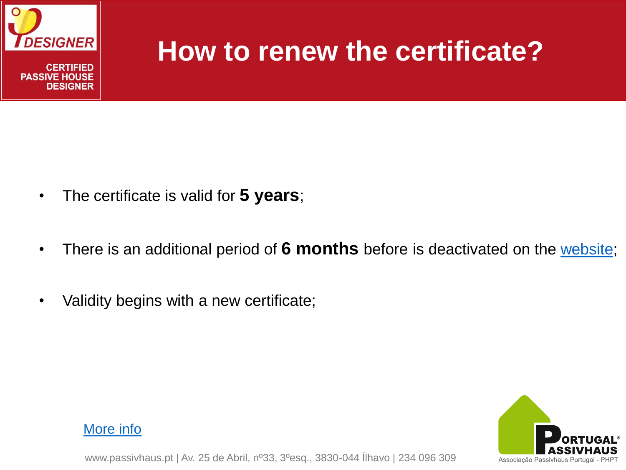

## **How to renew the certificate?**

- The certificate is valid for **5 years**;
- There is an additional period of **6 months** before is deactivated on the [website](http://www.passivhausplaner.eu/mitgliederdatenbank.php);
- Validity begins with a new certificate;



#### [More info](http://www.passivhausplaner.eu/index.php?group=3&level1_id=229&page_id=229&lang=en-GB)

www.passivhaus.pt | Av. 25 de Abril, nº33, 3ºesq., 3830-044 Ílhavo | 234 096 309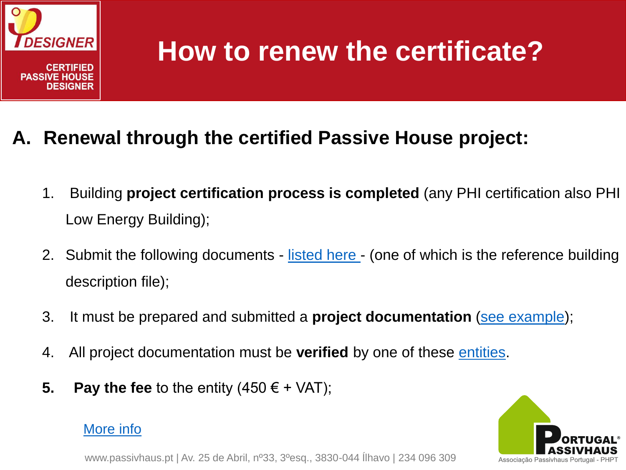

# **How to renew the certificate?**

- **A. Renewal through the certified Passive House project:**
	- 1. Building **project certification process is completed** (any PHI certification also PHI Low Energy Building);
	- 2. Submit the following documents [listed here -](http://passivhausplaner.eu/index.php?page_id=271&level1_id=265) (one of which is the reference building description file);
	- 3. It must be prepared and submitted a **project documentation** ([see example](http://www.passivhausplaner.eu/MusterPH_Projektdoku_Bild/ph_Feist_Kranichstein_0195.pdf));
	- 4. All project documentation must be **verified** by one of these [entities.](https://database.passivehouse.com/en/persons/designers/assessingbodies)
	- **5. Pay the fee** to the entity  $(450 \in + \sqrt{AT})$ ;

### [More info](http://www.passivhausplaner.eu/index.php?group=3&level1_id=265&page_id=265&lang=en-GB)

www.passivhaus.pt | Av. 25 de Abril, nº33, 3ºesq., 3830-044 Ílhavo | 234 096 309